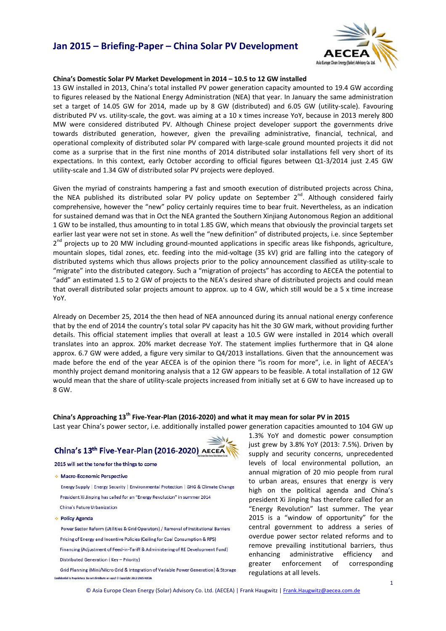# **Jan 2015 – Briefing‐Paper – China Solar PV Development**



### **China's Domestic Solar PV Market Development in 2014 – 10.5 to 12 GW installed**

13 GW installed in 2013, China's total installed PV power generation capacity amounted to 19.4 GW according to figures released by the National Energy Administration (NEA) that year. In January the same administration set a target of 14.05 GW for 2014, made up by 8 GW (distributed) and 6.05 GW (utility-scale). Favouring distributed PV vs. utility‐scale, the govt. was aiming at a 10 x times increase YoY, because in 2013 merely 800 MW were considered distributed PV. Although Chinese project developer support the governments drive towards distributed generation, however, given the prevailing administrative, financial, technical, and operational complexity of distributed solar PV compared with large‐scale ground mounted projects it did not come as a surprise that in the first nine months of 2014 distributed solar installations fell very short of its expectations. In this context, early October according to official figures between Q1‐3/2014 just 2.45 GW utility‐scale and 1.34 GW of distributed solar PV projects were deployed.

Given the myriad of constraints hampering a fast and smooth execution of distributed projects across China, the NEA published its distributed solar PV policy update on September  $2^{nd}$ . Although considered fairly comprehensive, however the "new" policy certainly requires time to bear fruit. Nevertheless, as an indication for sustained demand was that in Oct the NEA granted the Southern Xinjiang Autonomous Region an additional 1 GW to be installed, thus amounting to in total 1.85 GW, which means that obviously the provincial targets set earlier last year were not set in stone. As well the "new definition" of distributed projects, i.e. since September 2<sup>nd</sup> projects up to 20 MW including ground-mounted applications in specific areas like fishponds, agriculture, mountain slopes, tidal zones, etc. feeding into the mid‐voltage (35 kV) grid are falling into the category of distributed systems which thus allows projects prior to the policy announcement classified as utility‐scale to "migrate" into the distributed category. Such a "migration of projects" has according to AECEA the potential to "add" an estimated 1.5 to 2 GW of projects to the NEA's desired share of distributed projects and could mean that overall distributed solar projects amount to approx. up to 4 GW, which still would be a 5 x time increase YoY.

Already on December 25, 2014 the then head of NEA announced during its annual national energy conference that by the end of 2014 the country's total solar PV capacity has hit the 30 GW mark, without providing further details. This official statement implies that overall at least a 10.5 GW were installed in 2014 which overall translates into an approx. 20% market decrease YoY. The statement implies furthermore that in Q4 alone approx. 6.7 GW were added, a figure very similar to Q4/2013 installations. Given that the announcement was made before the end of the year AECEA is of the opinion there "is room for more", i.e. in light of AECEA's monthly project demand monitoring analysis that a 12 GW appears to be feasible. A total installation of 12 GW would mean that the share of utility-scale projects increased from initially set at 6 GW to have increased up to 8 GW.

### China's Approaching 13<sup>th</sup> Five-Year-Plan (2016-2020) and what it may mean for solar PV in 2015

Last year China's power sector, i.e. additionally installed power generation capacities amounted to 104 GW up



2015 will set the tone for the things to come

· Macro-Economic Perspective

Energy Supply | Energy Security | Environmental Protection | GHG & Climate Change President Xi Jinping has called for an "Energy Revolution" in summer 2014 China's Future Urbanization

· Policy Agenda

Power Sector Reform (Utilities & Grid Operators) / Removal of Institutional Barriers Pricing of Energy and Incentive Policies (Ceiling for Coal Consumption & RPS) Financing (Adjustment of Feed-in-Tariff & Administering of RE Development Fund) Distributed Generation (Key - Priority)

Grid Planning (Mini/Micro Grid & Integration of Variable Power Generation) & Storage Confidential & Proprietary: Do not distribute or copy! © Copyright 2012-2015 AECEA

1.3% YoY and domestic power consumption just grew by 3.8% YoY (2013: 7.5%). Driven by supply and security concerns, unprecedented levels of local environmental pollution, an annual migration of 20 mio people from rural to urban areas, ensures that energy is very high on the political agenda and China's president Xi Jinping has therefore called for an "Energy Revolution" last summer. The year 2015 is a "window of opportunity" for the central government to address a series of overdue power sector related reforms and to remove prevailing institutional barriers, thus enhancing administrative efficiency and greater enforcement of corresponding regulations at all levels.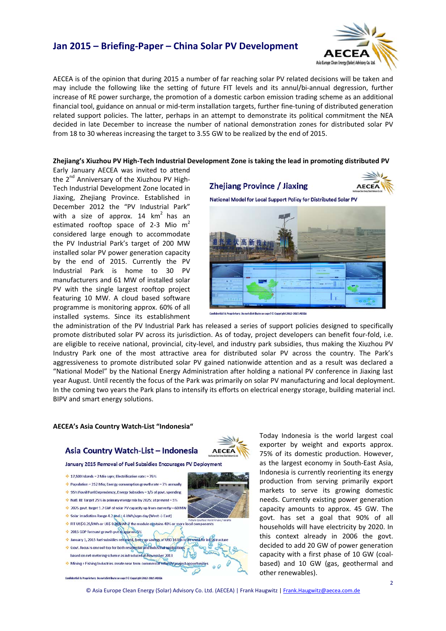# **Jan 2015 – Briefing‐Paper – China Solar PV Development**



AECEA is of the opinion that during 2015 a number of far reaching solar PV related decisions will be taken and may include the following like the setting of future FIT levels and its annul/bi-annual degression, further increase of RE power surcharge, the promotion of a domestic carbon emission trading scheme as an additional financial tool, guidance on annual or mid-term installation targets, further fine-tuning of distributed generation related support policies. The latter, perhaps in an attempt to demonstrate its political commitment the NEA decided in late December to increase the number of national demonstration zones for distributed solar PV from 18 to 30 whereas increasing the target to 3.55 GW to be realized by the end of 2015.

### Zhejiang's Xiuzhou PV High-Tech Industrial Development Zone is taking the lead in promoting distributed PV

Early January AECEA was invited to attend the  $2^{nd}$  Anniversary of the Xiuzhou PV High-Tech Industrial Development Zone located in Jiaxing, Zhejiang Province. Established in December 2012 the "PV Industrial Park" with a size of approx.  $14 \text{ km}^2$  has an estimated rooftop space of 2-3 Mio m<sup>2</sup> considered large enough to accommodate the PV Industrial Park's target of 200 MW installed solar PV power generation capacity by the end of 2015. Currently the PV Industrial Park is home to 30 PV manufacturers and 61 MW of installed solar PV with the single largest rooftop project featuring 10 MW. A cloud based software programme is monitoring approx. 60% of all installed systems. Since its establishment





tury: Do not distribute or copy! © Copyright 2012-2015 AECEA

the administration of the PV Industrial Park has released a series of support policies designed to specifically promote distributed solar PV across its jurisdiction. As of today, project developers can benefit four‐fold, i.e. are eligible to receive national, provincial, city-level, and industry park subsidies, thus making the Xiuzhou PV Industry Park one of the most attractive area for distributed solar PV across the country. The Park's aggressiveness to promote distributed solar PV gained nationwide attention and as a result was declared a "National Model" by the National Energy Administration after holding a national PV conference in Jiaxing last year August. Until recently the focus of the Park was primarily on solar PV manufacturing and local deployment. In the coming two years the Park plans to intensify its efforts on electrical energy storage, building material incl. BIPV and smart energy solutions.

**AECEA** 

### **AECEA's Asia Country Watch‐List "Indonesia"**

### Asia Country Watch-List - Indonesia

January 2015 Removal of Fuel Subsidies Encourages PV Deployment



Today Indonesia is the world largest coal exporter by weight and exports approx. 75% of its domestic production. However, as the largest economy in South‐East Asia, Indonesia is currently reorienting its energy production from serving primarily export markets to serve its growing domestic needs. Currently existing power generation capacity amounts to approx. 45 GW. The govt. has set a goal that 90% of all households will have electricity by 2020. In this context already in 2006 the govt. decided to add 20 GW of power generation capacity with a first phase of 10 GW (coal‐ based) and 10 GW (gas, geothermal and other renewables).